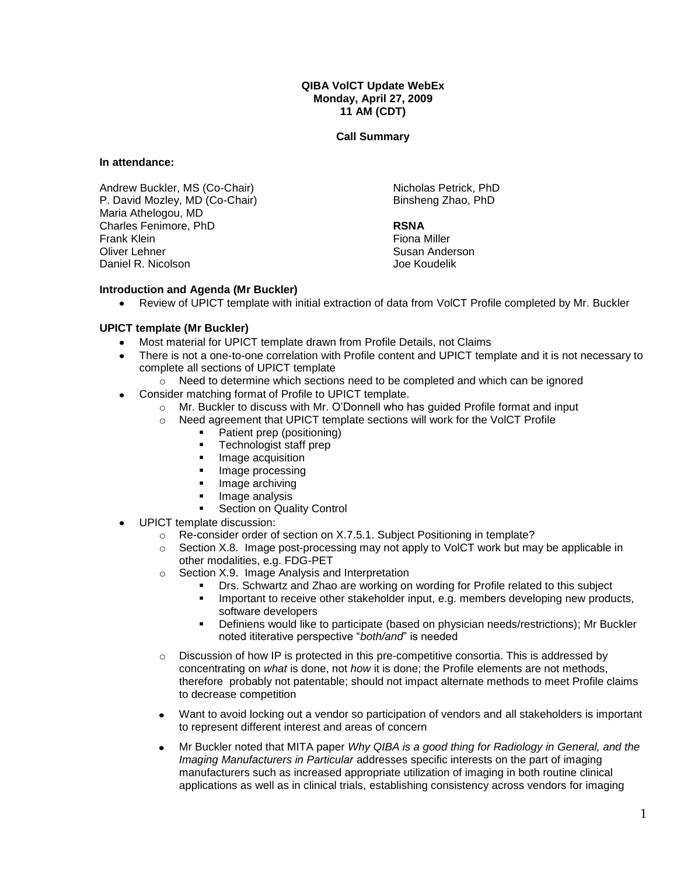**QIBA VolCT Update WebEx Monday, April 27, 2009 11 AM (CDT)** 

**Call Summary**

**In attendance:**

Andrew Buckler, MS (Co-Chair) P. David Mozley, MD (Co-Chair) Maria Athelogou, MD Charles Fenimore, PhD Frank Klein Oliver Lehner Daniel R. Nicolson

Nicholas Petrick, PhD Binsheng Zhao, PhD

## **RSNA**

Fiona Miller Susan Anderson Joe Koudelik

## **Introduction and Agenda (Mr Buckler)**

Review of UPICT template with initial extraction of data from VolCT Profile completed by Mr. Buckler

## **UPICT template (Mr Buckler)**

- Most material for UPICT template drawn from Profile Details, not Claims
- There is not a one-to-one correlation with Profile content and UPICT template and it is not necessary to  $\bullet$ complete all sections of UPICT template
	- $\circ$  Need to determine which sections need to be completed and which can be ignored
- $\bullet$ Consider matching format of Profile to UPICT template.
	- o Mr. Buckler to discuss with Mr. O'Donnell who has guided Profile format and input
	- o Need agreement that UPICT template sections will work for the VolCT Profile
		- Patient prep (positioning)
			- Technologist staff prep
		- **Image acquisition**
		- Image processing
		- Image archiving
		- Image analysis
		- **Section on Quality Control**
- UPICT template discussion:
	- o Re-consider order of section on X.7.5.1. Subject Positioning in template?
	- o Section X.8. Image post-processing may not apply to VolCT work but may be applicable in other modalities, e.g. FDG-PET
	- o Section X.9. Image Analysis and Interpretation
		- Drs. Schwartz and Zhao are working on wording for Profile related to this subject
		- Important to receive other stakeholder input, e.g. members developing new products, software developers
		- Definiens would like to participate (based on physician needs/restrictions); Mr Buckler noted ititerative perspective "*both/and*" is needed
	- $\circ$  Discussion of how IP is protected in this pre-competitive consortia. This is addressed by concentrating on *what* is done, not *how* it is done; the Profile elements are not methods, therefore probably not patentable; should not impact alternate methods to meet Profile claims to decrease competition
	- Want to avoid locking out a vendor so participation of vendors and all stakeholders is important to represent different interest and areas of concern
	- $\bullet$ Mr Buckler noted that MITA paper *Why QIBA is a good thing for Radiology in General, and the Imaging Manufacturers in Particular* addresses specific interests on the part of imaging manufacturers such as increased appropriate utilization of imaging in both routine clinical applications as well as in clinical trials, establishing consistency across vendors for imaging